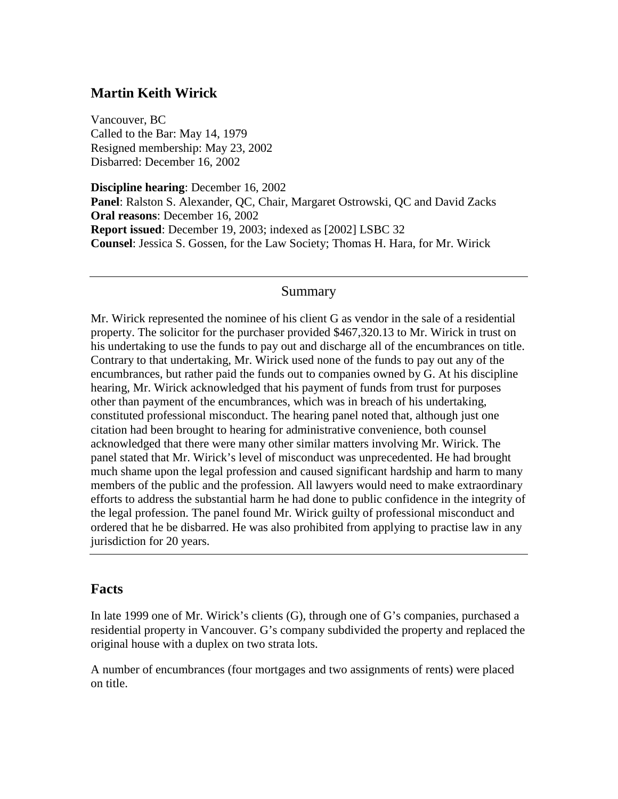# **Martin Keith Wirick**

Vancouver, BC Called to the Bar: May 14, 1979 Resigned membership: May 23, 2002 Disbarred: December 16, 2002

**Discipline hearing**: December 16, 2002 **Panel**: Ralston S. Alexander, QC, Chair, Margaret Ostrowski, QC and David Zacks **Oral reasons**: December 16, 2002 **Report issued**: December 19, 2003; indexed as [2002] LSBC 32 **Counsel**: Jessica S. Gossen, for the Law Society; Thomas H. Hara, for Mr. Wirick

#### Summary

Mr. Wirick represented the nominee of his client G as vendor in the sale of a residential property. The solicitor for the purchaser provided \$467,320.13 to Mr. Wirick in trust on his undertaking to use the funds to pay out and discharge all of the encumbrances on title. Contrary to that undertaking, Mr. Wirick used none of the funds to pay out any of the encumbrances, but rather paid the funds out to companies owned by G. At his discipline hearing, Mr. Wirick acknowledged that his payment of funds from trust for purposes other than payment of the encumbrances, which was in breach of his undertaking, constituted professional misconduct. The hearing panel noted that, although just one citation had been brought to hearing for administrative convenience, both counsel acknowledged that there were many other similar matters involving Mr. Wirick. The panel stated that Mr. Wirick's level of misconduct was unprecedented. He had brought much shame upon the legal profession and caused significant hardship and harm to many members of the public and the profession. All lawyers would need to make extraordinary efforts to address the substantial harm he had done to public confidence in the integrity of the legal profession. The panel found Mr. Wirick guilty of professional misconduct and ordered that he be disbarred. He was also prohibited from applying to practise law in any jurisdiction for 20 years.

### **Facts**

In late 1999 one of Mr. Wirick's clients (G), through one of G's companies, purchased a residential property in Vancouver. G's company subdivided the property and replaced the original house with a duplex on two strata lots.

A number of encumbrances (four mortgages and two assignments of rents) were placed on title.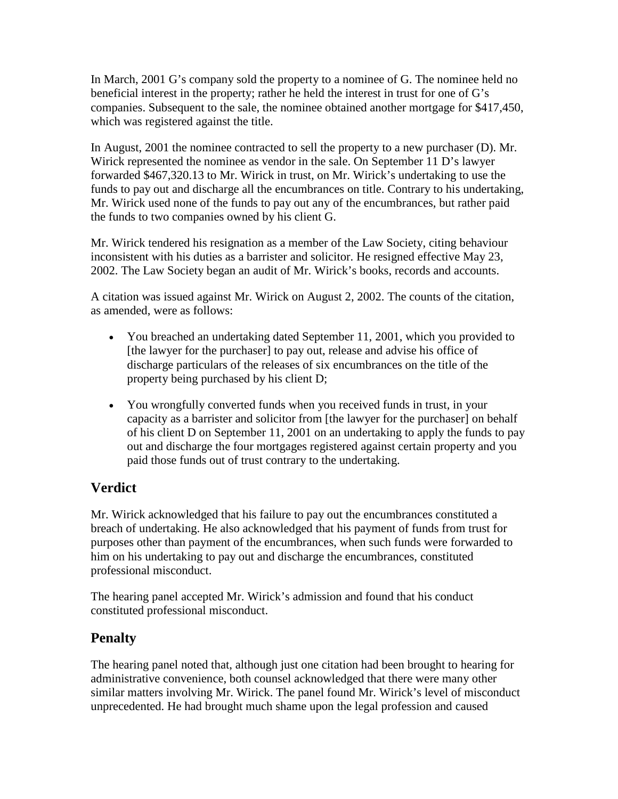In March, 2001 G's company sold the property to a nominee of G. The nominee held no beneficial interest in the property; rather he held the interest in trust for one of G's companies. Subsequent to the sale, the nominee obtained another mortgage for \$417,450, which was registered against the title.

In August, 2001 the nominee contracted to sell the property to a new purchaser (D). Mr. Wirick represented the nominee as vendor in the sale. On September 11 D's lawyer forwarded \$467,320.13 to Mr. Wirick in trust, on Mr. Wirick's undertaking to use the funds to pay out and discharge all the encumbrances on title. Contrary to his undertaking, Mr. Wirick used none of the funds to pay out any of the encumbrances, but rather paid the funds to two companies owned by his client G.

Mr. Wirick tendered his resignation as a member of the Law Society, citing behaviour inconsistent with his duties as a barrister and solicitor. He resigned effective May 23, 2002. The Law Society began an audit of Mr. Wirick's books, records and accounts.

A citation was issued against Mr. Wirick on August 2, 2002. The counts of the citation, as amended, were as follows:

- You breached an undertaking dated September 11, 2001, which you provided to [the lawyer for the purchaser] to pay out, release and advise his office of discharge particulars of the releases of six encumbrances on the title of the property being purchased by his client D;
- You wrongfully converted funds when you received funds in trust, in your capacity as a barrister and solicitor from [the lawyer for the purchaser] on behalf of his client D on September 11, 2001 on an undertaking to apply the funds to pay out and discharge the four mortgages registered against certain property and you paid those funds out of trust contrary to the undertaking.

# **Verdict**

Mr. Wirick acknowledged that his failure to pay out the encumbrances constituted a breach of undertaking. He also acknowledged that his payment of funds from trust for purposes other than payment of the encumbrances, when such funds were forwarded to him on his undertaking to pay out and discharge the encumbrances, constituted professional misconduct.

The hearing panel accepted Mr. Wirick's admission and found that his conduct constituted professional misconduct.

# **Penalty**

The hearing panel noted that, although just one citation had been brought to hearing for administrative convenience, both counsel acknowledged that there were many other similar matters involving Mr. Wirick. The panel found Mr. Wirick's level of misconduct unprecedented. He had brought much shame upon the legal profession and caused